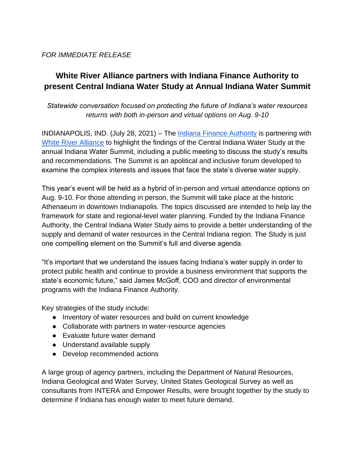## *FOR IMMEDIATE RELEASE*

# **White River Alliance partners with Indiana Finance Authority to present Central Indiana Water Study at Annual Indiana Water Summit**

## *Statewide conversation focused on protecting the future of Indiana's water resources returns with both in-person and virtual options on Aug. 9-10*

INDIANAPOLIS, IND. (July 28, 2021) – The *Indiana Finance Authority* is partnering with [White River Alliance](https://thewhiteriveralliance.org/) to highlight the findings of the Central Indiana Water Study at the annual Indiana Water Summit, including a public meeting to discuss the study's results and recommendations. The Summit is an apolitical and inclusive forum developed to examine the complex interests and issues that face the state's diverse water supply.

This year's event will be held as a hybrid of in-person and virtual attendance options on Aug. 9-10. For those attending in person, the Summit will take place at the historic Athenaeum in downtown Indianapolis. The topics discussed are intended to help lay the framework for state and regional-level water planning. Funded by the Indiana Finance Authority, the Central Indiana Water Study aims to provide a better understanding of the supply and demand of water resources in the Central Indiana region. The Study is just one compelling element on the Summit's full and diverse agenda.

"It's important that we understand the issues facing Indiana's water supply in order to protect public health and continue to provide a business environment that supports the state's economic future," said James McGoff, COO and director of environmental programs with the Indiana Finance Authority.

Key strategies of the study include:

- Inventory of water resources and build on current knowledge
- Collaborate with partners in water-resource agencies
- Evaluate future water demand
- Understand available supply
- Develop recommended actions

A large group of agency partners, including the Department of Natural Resources, Indiana Geological and Water Survey, United States Geological Survey as well as consultants from INTERA and Empower Results, were brought together by the study to determine if Indiana has enough water to meet future demand.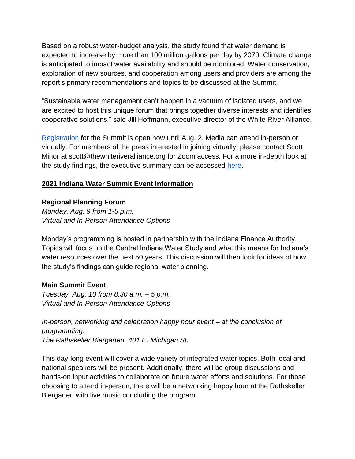Based on a robust water-budget analysis, the study found that water demand is expected to increase by more than 100 million gallons per day by 2070. Climate change is anticipated to impact water availability and should be monitored. Water conservation, exploration of new sources, and cooperation among users and providers are among the report's primary recommendations and topics to be discussed at the Summit.

"Sustainable water management can't happen in a vacuum of isolated users, and we are excited to host this unique forum that brings together diverse interests and identifies cooperative solutions," said Jill Hoffmann, executive director of the White River Alliance.

[Registration](https://thewhiteriveralliance.org/programs/water-summit/indiana-water-summit-registration/) for the Summit is open now until Aug. 2. Media can attend in-person or virtually. For members of the press interested in joining virtually, please contact Scott Minor at scott@thewhiteriveralliance.org for Zoom access. For a more in-depth look at the study findings, the executive summary can be accessed [here.](https://www.in.gov/ifa/files/Central-Indiana-Water-Study-Exec-Summary.pdf)

## **2021 Indiana Water Summit Event Information**

### **Regional Planning Forum**

*Monday, Aug. 9 from 1-5 p.m. Virtual and In-Person Attendance Options*

Monday's programming is hosted in partnership with the Indiana Finance Authority. Topics will focus on the Central Indiana Water Study and what this means for Indiana's water resources over the next 50 years. This discussion will then look for ideas of how the study's findings can guide regional water planning.

### **Main Summit Event**

*Tuesday, Aug. 10 from 8:30 a.m. – 5 p.m. Virtual and In-Person Attendance Options* 

*In-person, networking and celebration happy hour event – at the conclusion of programming. The Rathskeller Biergarten, 401 E. Michigan St.* 

This day-long event will cover a wide variety of integrated water topics. Both local and national speakers will be present. Additionally, there will be group discussions and hands-on input activities to collaborate on future water efforts and solutions. For those choosing to attend in-person, there will be a networking happy hour at the Rathskeller Biergarten with live music concluding the program.